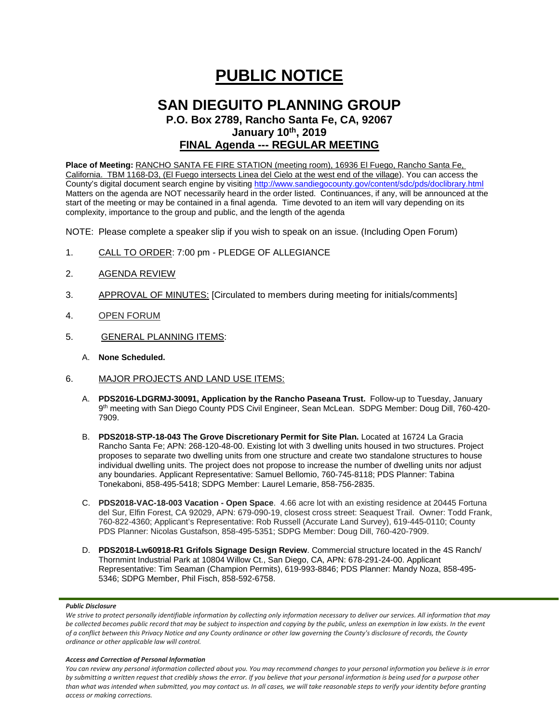# **PUBLIC NOTICE**

## **SAN DIEGUITO PLANNING GROUP**

**P.O. Box 2789, Rancho Santa Fe, CA, 92067 January 10th, 2019**

### **FINAL Agenda --- REGULAR MEETING**

**Place of Meeting:** RANCHO SANTA FE FIRE STATION (meeting room), 16936 El Fuego, Rancho Santa Fe, California. TBM 1168-D3, (El Fuego intersects Linea del Cielo at the west end of the village). You can access the County's digital document search engine by visitin[g http://www.sandiegocounty.gov/content/sdc/pds/doclibrary.html](http://www.sandiegocounty.gov/content/sdc/pds/doclibrary.html) Matters on the agenda are NOT necessarily heard in the order listed. Continuances, if any, will be announced at the start of the meeting or may be contained in a final agenda. Time devoted to an item will vary depending on its complexity, importance to the group and public, and the length of the agenda

NOTE: Please complete a speaker slip if you wish to speak on an issue. (Including Open Forum)

- 1. CALL TO ORDER: 7:00 pm PLEDGE OF ALLEGIANCE
- 2. AGENDA REVIEW
- 3. APPROVAL OF MINUTES: [Circulated to members during meeting for initials/comments]
- 4. OPEN FORUM
- 5. GENERAL PLANNING ITEMS:
	- A. **None Scheduled.**
- 6. MAJOR PROJECTS AND LAND USE ITEMS:
	- A. **PDS2016-LDGRMJ-30091, Application by the Rancho Paseana Trust.** Follow-up to Tuesday, January 9th meeting with San Diego County PDS Civil Engineer, Sean McLean. SDPG Member: Doug Dill, 760-420- 7909.
	- B. **PDS2018-STP-18-043 The Grove Discretionary Permit for Site Plan.** Located at 16724 La Gracia Rancho Santa Fe; APN: 268-120-48-00. Existing lot with 3 dwelling units housed in two structures. Project proposes to separate two dwelling units from one structure and create two standalone structures to house individual dwelling units. The project does not propose to increase the number of dwelling units nor adjust any boundaries. Applicant Representative: Samuel Bellomio, 760-745-8118; PDS Planner: Tabina Tonekaboni, 858-495-5418; SDPG Member: Laurel Lemarie, 858-756-2835.
	- C. **PDS2018-VAC-18-003 Vacation - Open Space**. 4.66 acre lot with an existing residence at 20445 Fortuna del Sur, Elfin Forest, CA 92029, APN: 679-090-19, closest cross street: Seaquest Trail. Owner: Todd Frank, 760-822-4360; Applicant's Representative: Rob Russell (Accurate Land Survey), 619-445-0110; County PDS Planner: Nicolas Gustafson, 858-495-5351; SDPG Member: Doug Dill, 760-420-7909.
	- D. **PDS2018-Lw60918-R1 Grifols Signage Design Review**. Commercial structure located in the 4S Ranch/ Thornmint Industrial Park at 10804 Willow Ct., San Diego, CA, APN: 678-291-24-00. Applicant Representative: Tim Seaman (Champion Permits), 619-993-8846; PDS Planner: Mandy Noza, 858-495- 5346; SDPG Member, Phil Fisch, 858-592-6758.

#### *Public Disclosure*

#### *Access and Correction of Personal Information*

*You can review any personal information collected about you. You may recommend changes to your personal information you believe is in error by submitting a written request that credibly shows the error. If you believe that your personal information is being used for a purpose other than what was intended when submitted, you may contact us. In all cases, we will take reasonable steps to verify your identity before granting access or making corrections.*

We strive to protect personally identifiable information by collecting only information necessary to deliver our services. All information that may *be collected becomes public record that may be subject to inspection and copying by the public, unless an exemption in law exists. In the event of a conflict between this Privacy Notice and any County ordinance or other law governing the County's disclosure of records, the County ordinance or other applicable law will control.*